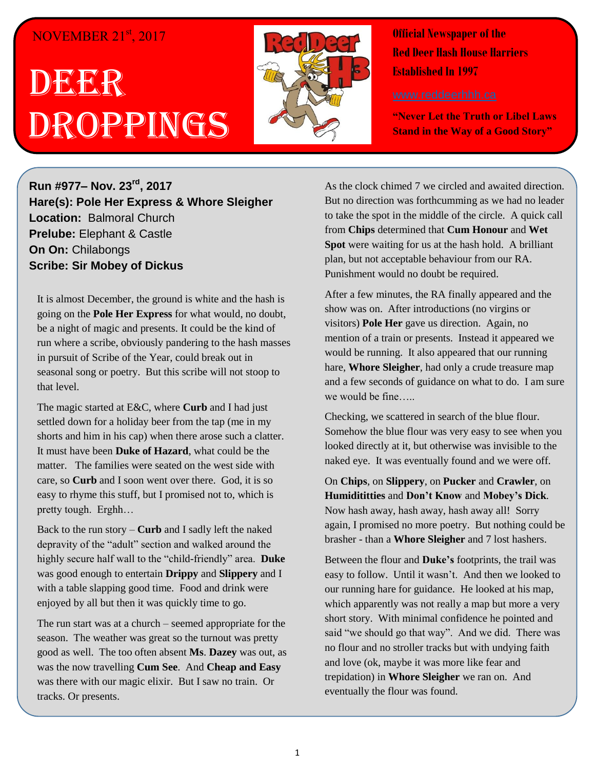## NOVEMBER 21<sup>st</sup>, 2017

# DEER Droppings



**Official Newspaper of the Red Deer Hash House Harriers Established In 1997** 

**"Never Let the Truth or Libel Laws Stand in the Way of a Good Story"**

**Run #977– Nov. 23rd , 2017 Hare(s): Pole Her Express & Whore Sleigher Location:** Balmoral Church **Prelube:** Elephant & Castle **On On:** Chilabongs **Scribe: Sir Mobey of Dickus**

It is almost December, the ground is white and the hash is going on the **Pole Her Express** for what would, no doubt, be a night of magic and presents. It could be the kind of run where a scribe, obviously pandering to the hash masses in pursuit of Scribe of the Year, could break out in seasonal song or poetry. But this scribe will not stoop to that level.

The magic started at E&C, where **Curb** and I had just settled down for a holiday beer from the tap (me in my shorts and him in his cap) when there arose such a clatter. It must have been **Duke of Hazard**, what could be the matter. The families were seated on the west side with care, so **Curb** and I soon went over there. God, it is so easy to rhyme this stuff, but I promised not to, which is pretty tough. Erghh…

Back to the run story – **Curb** and I sadly left the naked depravity of the "adult" section and walked around the highly secure half wall to the "child-friendly" area. **Duke** was good enough to entertain **Drippy** and **Slippery** and I with a table slapping good time. Food and drink were enjoyed by all but then it was quickly time to go.

The run start was at a church – seemed appropriate for the season. The weather was great so the turnout was pretty good as well. The too often absent **Ms**. **Dazey** was out, as was the now travelling **Cum See**. And **Cheap and Easy** was there with our magic elixir. But I saw no train. Or tracks. Or presents.

As the clock chimed 7 we circled and awaited direction. But no direction was forthcumming as we had no leader to take the spot in the middle of the circle. A quick call from **Chips** determined that **Cum Honour** and **Wet Spot** were waiting for us at the hash hold. A brilliant plan, but not acceptable behaviour from our RA. Punishment would no doubt be required.

After a few minutes, the RA finally appeared and the show was on. After introductions (no virgins or visitors) **Pole Her** gave us direction. Again, no mention of a train or presents. Instead it appeared we would be running. It also appeared that our running hare, **Whore Sleigher**, had only a crude treasure map and a few seconds of guidance on what to do. I am sure we would be fine…..

Checking, we scattered in search of the blue flour. Somehow the blue flour was very easy to see when you looked directly at it, but otherwise was invisible to the naked eye. It was eventually found and we were off.

On **Chips**, on **Slippery**, on **Pucker** and **Crawler**, on **Humidititties** and **Don't Know** and **Mobey's Dick**. Now hash away, hash away, hash away all! Sorry again, I promised no more poetry. But nothing could be brasher - than a **Whore Sleigher** and 7 lost hashers.

Between the flour and **Duke's** footprints, the trail was easy to follow. Until it wasn't. And then we looked to our running hare for guidance. He looked at his map, which apparently was not really a map but more a very short story. With minimal confidence he pointed and said "we should go that way". And we did. There was no flour and no stroller tracks but with undying faith and love (ok, maybe it was more like fear and trepidation) in **Whore Sleigher** we ran on. And eventually the flour was found.